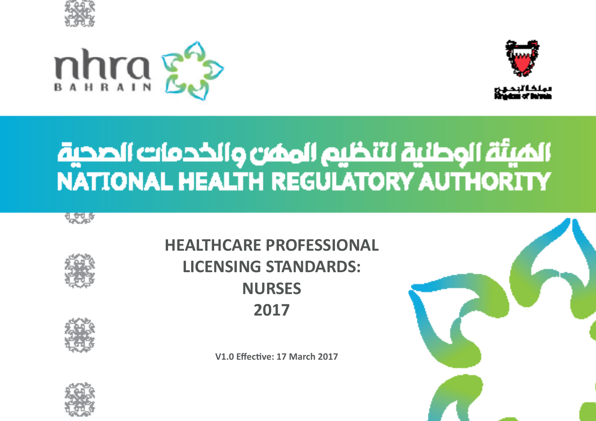





# الغيثة الوطنية لتنظيم المغن والخدمات الصحية NATIONAL HEALTH REGULATORY AUTHORITY





**HEALTHCARE PROFESSIONAL LICENSING STANDARDS: NURSES 2017**





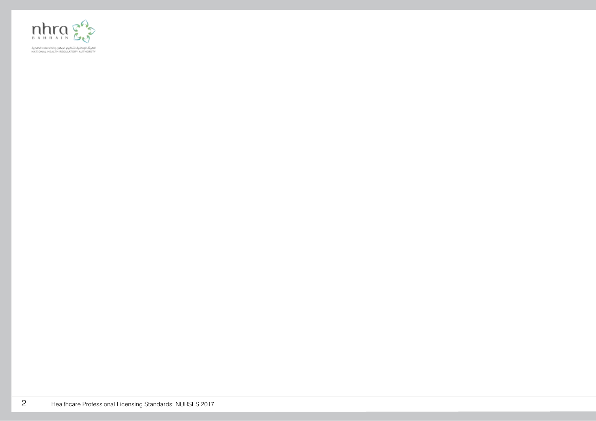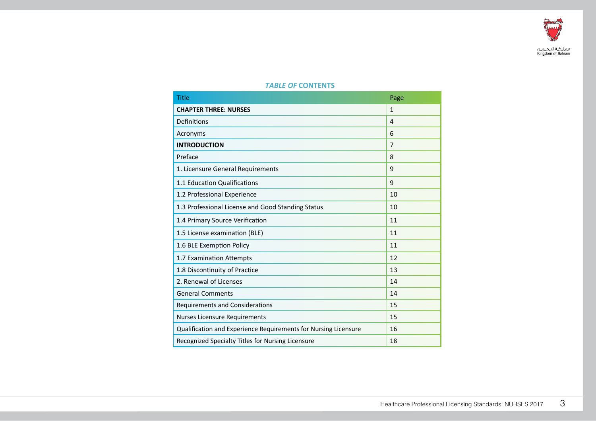

#### *TABLE OF* **CONTENTS**

| <b>Title</b>                                                    | Page           |
|-----------------------------------------------------------------|----------------|
| <b>CHAPTER THREE: NURSES</b>                                    | $\mathbf{1}$   |
| Definitions                                                     | $\overline{4}$ |
| Acronyms                                                        | 6              |
| <b>INTRODUCTION</b>                                             | $\overline{7}$ |
| Preface                                                         | 8              |
| 1. Licensure General Requirements                               | 9              |
| 1.1 Education Qualifications                                    | 9              |
| 1.2 Professional Experience                                     | 10             |
| 1.3 Professional License and Good Standing Status               | 10             |
| 1.4 Primary Source Verification                                 | 11             |
| 1.5 License examination (BLE)                                   | 11             |
| 1.6 BLE Exemption Policy                                        | 11             |
| 1.7 Examination Attempts                                        | 12             |
| 1.8 Discontinuity of Practice                                   | 13             |
| 2. Renewal of Licenses                                          | 14             |
| <b>General Comments</b>                                         | 14             |
| <b>Requirements and Considerations</b>                          | 15             |
| <b>Nurses Licensure Requirements</b>                            | 15             |
| Qualification and Experience Requirements for Nursing Licensure | 16             |
| Recognized Specialty Titles for Nursing Licensure               | 18             |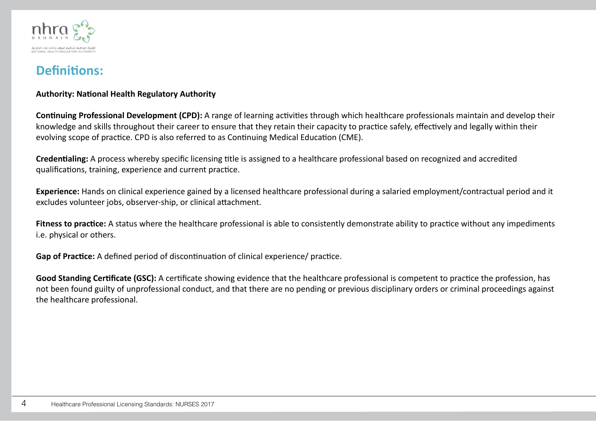

## **Definitions:**

#### **Authority: National Health Regulatory Authority**

**Continuing Professional Development (CPD):** A range of learning activities through which healthcare professionals maintain and develop their knowledge and skills throughout their career to ensure that they retain their capacity to practice safely, effectively and legally within their evolving scope of practice. CPD is also referred to as Continuing Medical Education (CME).

**Credentialing:** A process whereby specific licensing title is assigned to a healthcare professional based on recognized and accredited qualifications, training, experience and current practice.

**Experience:** Hands on clinical experience gained by a licensed healthcare professional during a salaried employment/contractual period and it excludes volunteer jobs, observer-ship, or clinical attachment.

**Fitness to practice:** A status where the healthcare professional is able to consistently demonstrate ability to practice without any impediments i.e. physical or others.

**Gap of Practice:** A defined period of discontinuation of clinical experience/ practice.

Good Standing Certificate (GSC): A certificate showing evidence that the healthcare professional is competent to practice the profession, has not been found guilty of unprofessional conduct, and that there are no pending or previous disciplinary orders or criminal proceedings against the healthcare professional.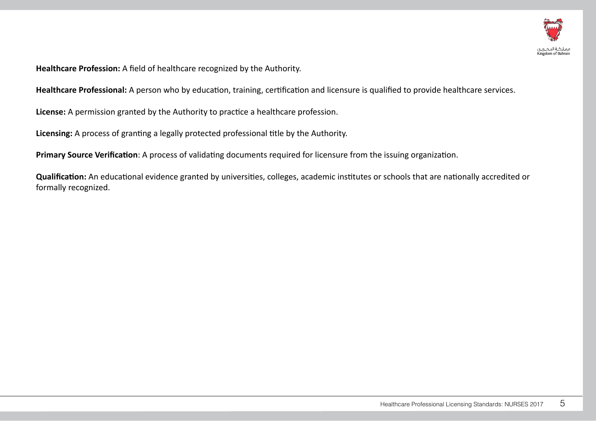

**Healthcare Profession:** A field of healthcare recognized by the Authority.

**Healthcare Professional:** A person who by education, training, certification and licensure is qualified to provide healthcare services.

**License:** A permission granted by the Authority to practice a healthcare profession.

**Licensing:** A process of granting a legally protected professional title by the Authority.

**Primary Source Verification**: A process of validating documents required for licensure from the issuing organization.

**Qualification:** An educational evidence granted by universities, colleges, academic institutes or schools that are nationally accredited or formally recognized.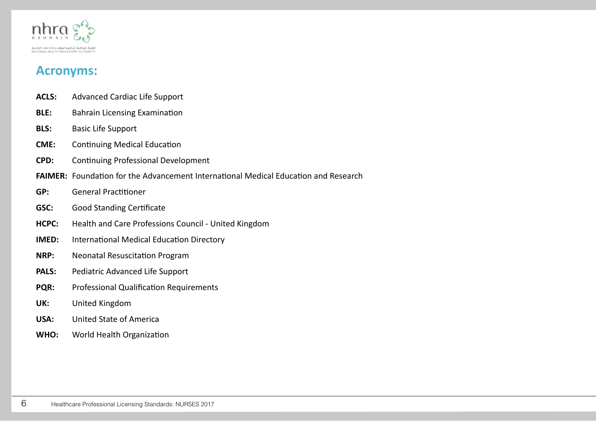

## **Acronyms:**

- **ACLS:** Advanced Cardiac Life Support
- **BLE:** Bahrain Licensing Examination
- **BLS:** Basic Life Support
- **CME:** Continuing Medical Education
- **CPD:** Continuing Professional Development
- **FAIMER:** Foundation for the Advancement International Medical Education and Research
- **GP:** General Practitioner
- **GSC:** Good Standing Certificate
- **HCPC:** Health and Care Professions Council United Kingdom
- **IMED:** International Medical Education Directory
- **NRP:** Neonatal Resuscitation Program
- **PALS:** Pediatric Advanced Life Support
- **PQR:** Professional Qualification Requirements
- **UK:** United Kingdom
- **USA:** United State of America
- **WHO:** World Health Organization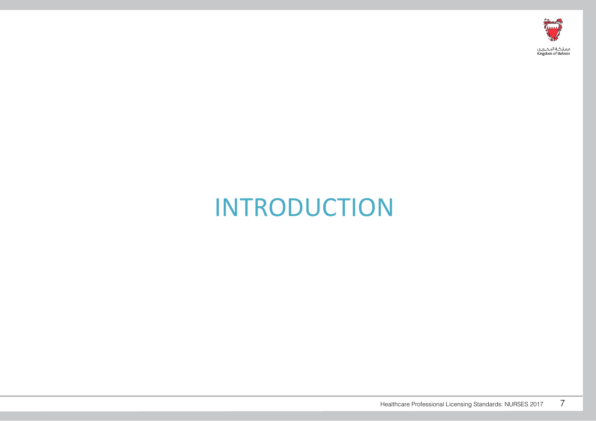

# INTRODUCTION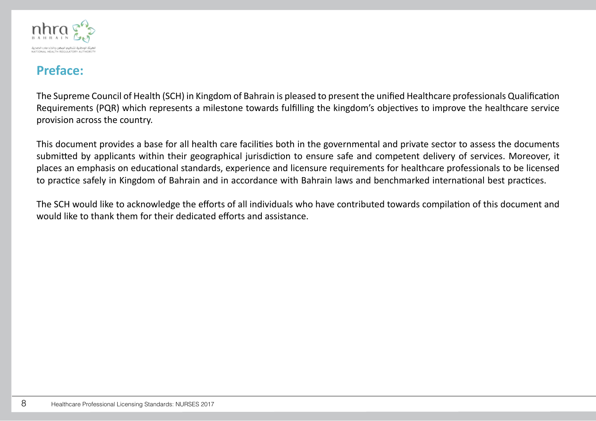

## **Preface:**

The Supreme Council of Health (SCH) in Kingdom of Bahrain is pleased to present the unified Healthcare professionals Qualification Requirements (PQR) which represents a milestone towards fulfilling the kingdom's objectives to improve the healthcare service provision across the country.

This document provides a base for all health care facilities both in the governmental and private sector to assess the documents submitted by applicants within their geographical jurisdiction to ensure safe and competent delivery of services. Moreover, it places an emphasis on educational standards, experience and licensure requirements for healthcare professionals to be licensed to practice safely in Kingdom of Bahrain and in accordance with Bahrain laws and benchmarked international best practices.

The SCH would like to acknowledge the efforts of all individuals who have contributed towards compilation of this document and would like to thank them for their dedicated efforts and assistance.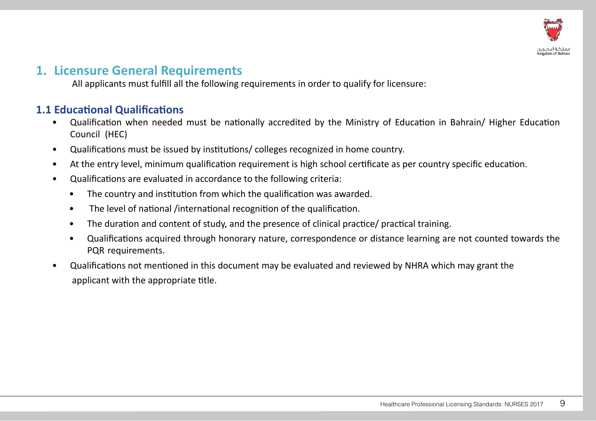

## **11 Licensure General Requirements**

All applicants must fulfill all the following requirements in order to qualify for licensure:

### **1.1 Educational Qualifications**

- Qualification when needed must be nationally accredited by the Ministry of Education in Bahrain/ Higher Education Council (HEC)
- Qualifications must be issued by institutions/ colleges recognized in home country.
- At the entry level, minimum qualification requirement is high school certificate as per country specific education.
- Qualifications are evaluated in accordance to the following criteria:
	- The country and institution from which the qualification was awarded.
	- The level of national /international recognition of the qualification.
	- The duration and content of study, and the presence of clinical practice/ practical training.
	- Qualifications acquired through honorary nature, correspondence or distance learning are not counted towards the PQR requirements.
- Qualifications not mentioned in this document may be evaluated and reviewed by NHRA which may grant the applicant with the appropriate title.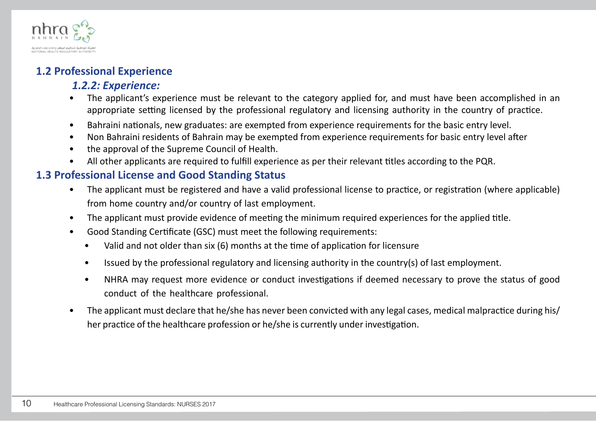

## **1.2 Professional Experience**

#### *1.2.2: Experience:*

- The applicant's experience must be relevant to the category applied for, and must have been accomplished in an appropriate setting licensed by the professional regulatory and licensing authority in the country of practice.
- Bahraini nationals, new graduates: are exempted from experience requirements for the basic entry level.
- Non Bahraini residents of Bahrain may be exempted from experience requirements for basic entry level after
- the approval of the Supreme Council of Health.
- All other applicants are required to fulfill experience as per their relevant titles according to the PQR.

#### **1.3 Professional License and Good Standing Status**

- The applicant must be registered and have a valid professional license to practice, or registration (where applicable) from home country and/or country of last employment.
- The applicant must provide evidence of meeting the minimum required experiences for the applied title.
- Good Standing Certificate (GSC) must meet the following requirements:
	- Valid and not older than six (6) months at the time of application for licensure
	- Issued by the professional regulatory and licensing authority in the country(s) of last employment.
	- NHRA may request more evidence or conduct investigations if deemed necessary to prove the status of good conduct of the healthcare professional.
- The applicant must declare that he/she has never been convicted with any legal cases, medical malpractice during his/ her practice of the healthcare profession or he/she is currently under investigation.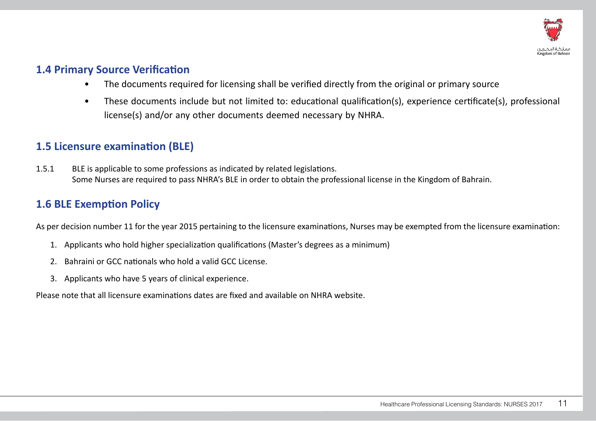

#### **1.4 Primary Source Verification**

- The documents required for licensing shall be verified directly from the original or primary source
- These documents include but not limited to: educational qualification(s), experience certificate(s), professional license(s) and/or any other documents deemed necessary by NHRA.

#### **1.5 Licensure examination (BLE)**

1.5.1 BLE is applicable to some professions as indicated by related legislations. Some Nurses are required to pass NHRA's BLE in order to obtain the professional license in the Kingdom of Bahrain.

#### **1.6 BLE Exemption Policy**

As per decision number 11 for the year 2015 pertaining to the licensure examinations, Nurses may be exempted from the licensure examination:

- 1. Applicants who hold higher specialization qualifications (Master's degrees as a minimum)
- 2. Bahraini or GCC nationals who hold a valid GCC License.
- 3. Applicants who have 5 years of clinical experience.

Please note that all licensure examinations dates are fixed and available on NHRA website.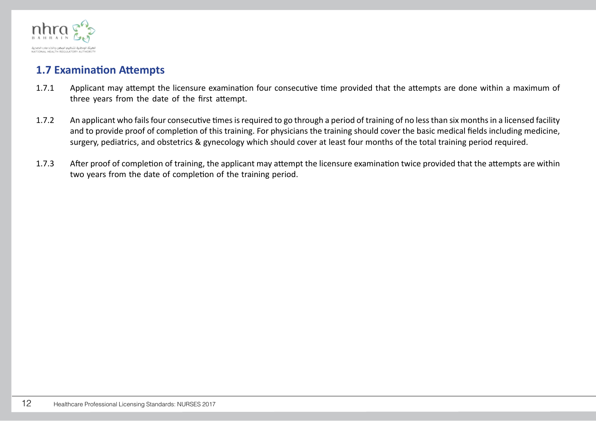

#### **1.7 Examination Attempts**

- 1.7.1 Applicant may attempt the licensure examination four consecutive time provided that the attempts are done within a maximum of three years from the date of the first attempt.
- 1.7.2 An applicant who fails four consecutive times is required to go through a period of training of no less than six months in a licensed facility and to provide proof of completion of this training. For physicians the training should cover the basic medical fields including medicine, surgery, pediatrics, and obstetrics & gynecology which should cover at least four months of the total training period required.
- 1.7.3 After proof of completion of training, the applicant may attempt the licensure examination twice provided that the attempts are within two years from the date of completion of the training period.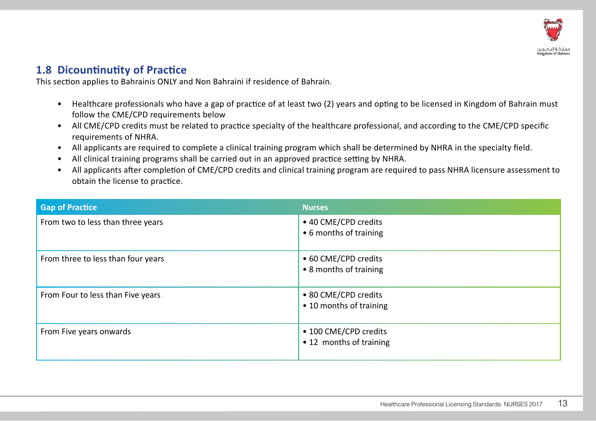

#### **1.8 Dicountinutity of Practice**

This section applies to Bahrainis ONLY and Non Bahraini if residence of Bahrain.

- Healthcare professionals who have a gap of practice of at least two (2) years and opting to be licensed in Kingdom of Bahrain must follow the CME/CPD requirements below
- All CME/CPD credits must be related to practice specialty of the healthcare professional, and according to the CME/CPD specific requirements of NHRA.
- All applicants are required to complete a clinical training program which shall be determined by NHRA in the specialty field.
- All clinical training programs shall be carried out in an approved practice setting by NHRA.
- All applicants after completion of CME/CPD credits and clinical training program are required to pass NHRA licensure assessment to obtain the license to practice.

| <b>Gap of Practice</b>             | Nurses                                           |
|------------------------------------|--------------------------------------------------|
| From two to less than three years  | • 40 CME/CPD credits<br>• 6 months of training   |
| From three to less than four years | • 60 CME/CPD credits<br>• 8 months of training   |
| From Four to less than Five years  | • 80 CME/CPD credits<br>• 10 months of training  |
| From Five years onwards            | • 100 CME/CPD credits<br>• 12 months of training |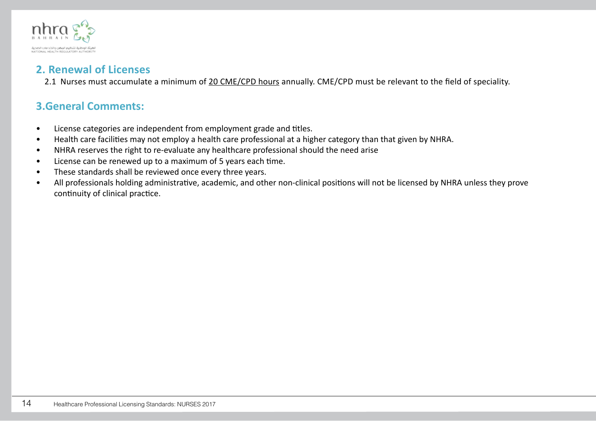

#### **2. Renewal of Licenses**

2.1 Nurses must accumulate a minimum of 20 CME/CPD hours annually. CME/CPD must be relevant to the field of speciality.

## **3.General Comments:**

- License categories are independent from employment grade and titles.
- Health care facilities may not employ a health care professional at a higher category than that given by NHRA.
- NHRA reserves the right to re-evaluate any healthcare professional should the need arise
- License can be renewed up to a maximum of 5 years each time.
- These standards shall be reviewed once every three years.
- All professionals holding administrative, academic, and other non-clinical positions will not be licensed by NHRA unless they prove continuity of clinical practice.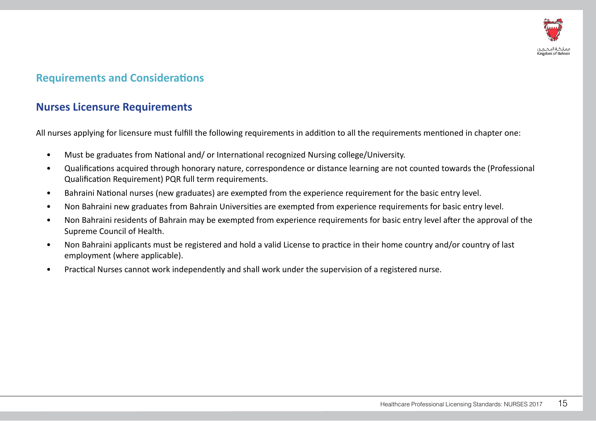

#### **Requirements and Considerations**

#### **Nurses Licensure Requirements**

All nurses applying for licensure must fulfill the following requirements in addition to all the requirements mentioned in chapter one:

- Must be graduates from National and/ or International recognized Nursing college/University.
- Qualifications acquired through honorary nature, correspondence or distance learning are not counted towards the (Professional Qualification Requirement) PQR full term requirements.
- Bahraini National nurses (new graduates) are exempted from the experience requirement for the basic entry level.
- Non Bahraini new graduates from Bahrain Universities are exempted from experience requirements for basic entry level.
- Non Bahraini residents of Bahrain may be exempted from experience requirements for basic entry level after the approval of the Supreme Council of Health.
- Non Bahraini applicants must be registered and hold a valid License to practice in their home country and/or country of last employment (where applicable).
- Practical Nurses cannot work independently and shall work under the supervision of a registered nurse.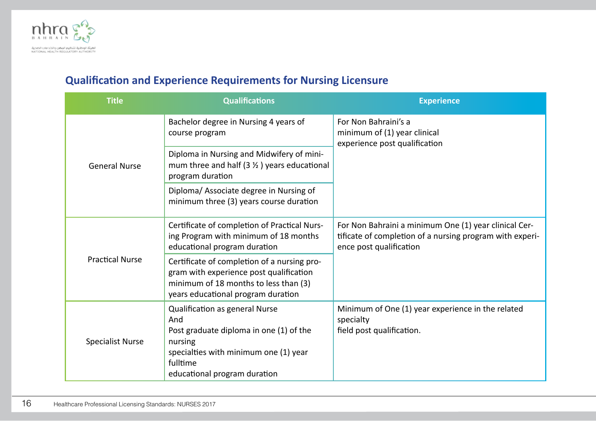

### **Qualification and Experience Requirements for Nursing Licensure**

| <b>Title</b>            | <b>Qualifications</b>                                                                                                                                                            | <b>Experience</b>                                                                                                                            |
|-------------------------|----------------------------------------------------------------------------------------------------------------------------------------------------------------------------------|----------------------------------------------------------------------------------------------------------------------------------------------|
| <b>General Nurse</b>    | Bachelor degree in Nursing 4 years of<br>course program                                                                                                                          | For Non Bahraini's a<br>minimum of (1) year clinical<br>experience post qualification                                                        |
|                         | Diploma in Nursing and Midwifery of mini-<br>mum three and half $(3 \times)$ years educational<br>program duration                                                               |                                                                                                                                              |
|                         | Diploma/ Associate degree in Nursing of<br>minimum three (3) years course duration                                                                                               |                                                                                                                                              |
| <b>Practical Nurse</b>  | Certificate of completion of Practical Nurs-<br>ing Program with minimum of 18 months<br>educational program duration                                                            | For Non Bahraini a minimum One (1) year clinical Cer-<br>tificate of completion of a nursing program with experi-<br>ence post qualification |
|                         | Certificate of completion of a nursing pro-<br>gram with experience post qualification<br>minimum of 18 months to less than (3)<br>years educational program duration            |                                                                                                                                              |
| <b>Specialist Nurse</b> | Qualification as general Nurse<br>And<br>Post graduate diploma in one (1) of the<br>nursing<br>specialties with minimum one (1) year<br>fulltime<br>educational program duration | Minimum of One (1) year experience in the related<br>specialty<br>field post qualification.                                                  |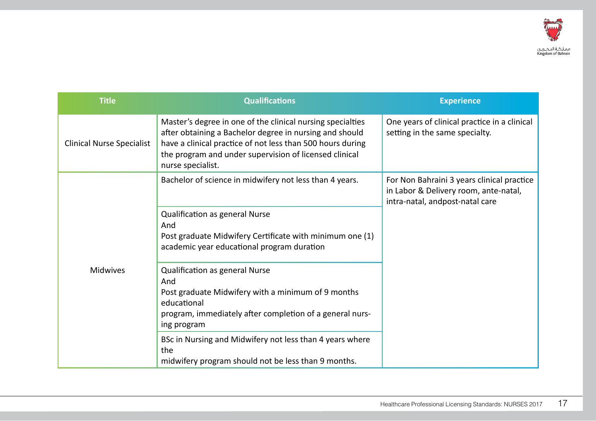

| <b>Title</b>              | <b>Qualifications</b>                                                                                                                                                                                                                                              | <b>Experience</b>                                                                                                      |
|---------------------------|--------------------------------------------------------------------------------------------------------------------------------------------------------------------------------------------------------------------------------------------------------------------|------------------------------------------------------------------------------------------------------------------------|
| Clinical Nurse Specialist | Master's degree in one of the clinical nursing specialties<br>after obtaining a Bachelor degree in nursing and should<br>have a clinical practice of not less than 500 hours during<br>the program and under supervision of licensed clinical<br>nurse specialist. | One years of clinical practice in a clinical<br>setting in the same specialty.                                         |
| <b>Midwives</b>           | Bachelor of science in midwifery not less than 4 years.                                                                                                                                                                                                            | For Non Bahraini 3 years clinical practice<br>in Labor & Delivery room, ante-natal,<br>intra-natal, andpost-natal care |
|                           | Qualification as general Nurse<br>And<br>Post graduate Midwifery Certificate with minimum one (1)<br>academic year educational program duration                                                                                                                    |                                                                                                                        |
|                           | Qualification as general Nurse<br>And<br>Post graduate Midwifery with a minimum of 9 months<br>educational<br>program, immediately after completion of a general nurs-<br>ing program                                                                              |                                                                                                                        |
|                           | BSc in Nursing and Midwifery not less than 4 years where<br>the<br>midwifery program should not be less than 9 months.                                                                                                                                             |                                                                                                                        |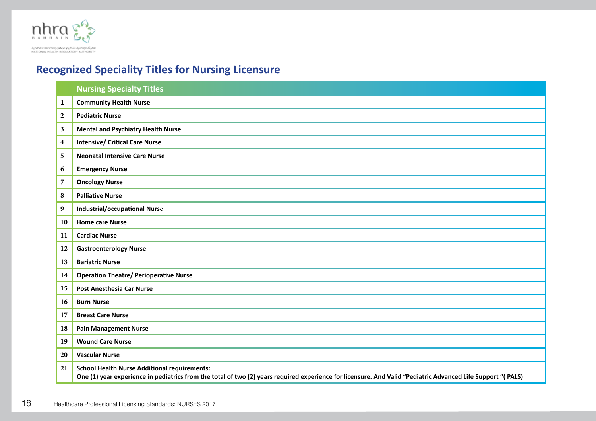

## **Recognized Speciality Titles for Nursing Licensure**

|              | <b>Nursing Specialty Titles</b>                                                                                                                                                                                    |
|--------------|--------------------------------------------------------------------------------------------------------------------------------------------------------------------------------------------------------------------|
| 1            | <b>Community Health Nurse</b>                                                                                                                                                                                      |
| $\mathbf{2}$ | <b>Pediatric Nurse</b>                                                                                                                                                                                             |
| 3            | <b>Mental and Psychiatry Health Nurse</b>                                                                                                                                                                          |
| 4            | <b>Intensive/ Critical Care Nurse</b>                                                                                                                                                                              |
| 5            | <b>Neonatal Intensive Care Nurse</b>                                                                                                                                                                               |
| 6            | <b>Emergency Nurse</b>                                                                                                                                                                                             |
| 7            | <b>Oncology Nurse</b>                                                                                                                                                                                              |
| 8            | <b>Palliative Nurse</b>                                                                                                                                                                                            |
| 9            | <b>Industrial/occupational Nurse</b>                                                                                                                                                                               |
| 10           | <b>Home care Nurse</b>                                                                                                                                                                                             |
| 11           | <b>Cardiac Nurse</b>                                                                                                                                                                                               |
| 12           | <b>Gastroenterology Nurse</b>                                                                                                                                                                                      |
| 13           | <b>Bariatric Nurse</b>                                                                                                                                                                                             |
| 14           | <b>Operation Theatre/ Perioperative Nurse</b>                                                                                                                                                                      |
| 15           | <b>Post Anesthesia Car Nurse</b>                                                                                                                                                                                   |
| 16           | <b>Burn Nurse</b>                                                                                                                                                                                                  |
| 17           | <b>Breast Care Nurse</b>                                                                                                                                                                                           |
| 18           | <b>Pain Management Nurse</b>                                                                                                                                                                                       |
| 19           | <b>Wound Care Nurse</b>                                                                                                                                                                                            |
| 20           | <b>Vascular Nurse</b>                                                                                                                                                                                              |
| 21           | <b>School Health Nurse Additional requirements:</b><br>One (1) year experience in pediatrics from the total of two (2) years required experience for licensure. And Valid "Pediatric Advanced Life Support "(PALS) |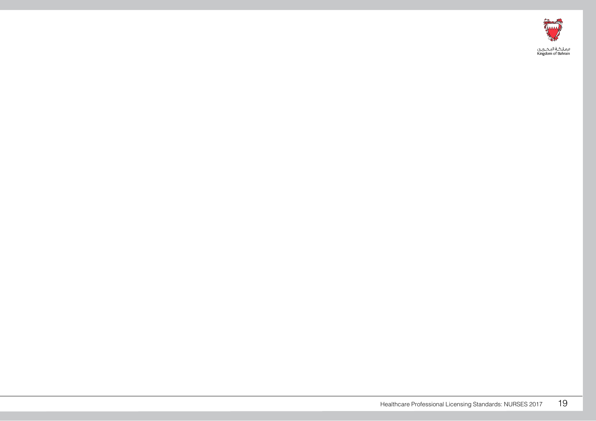